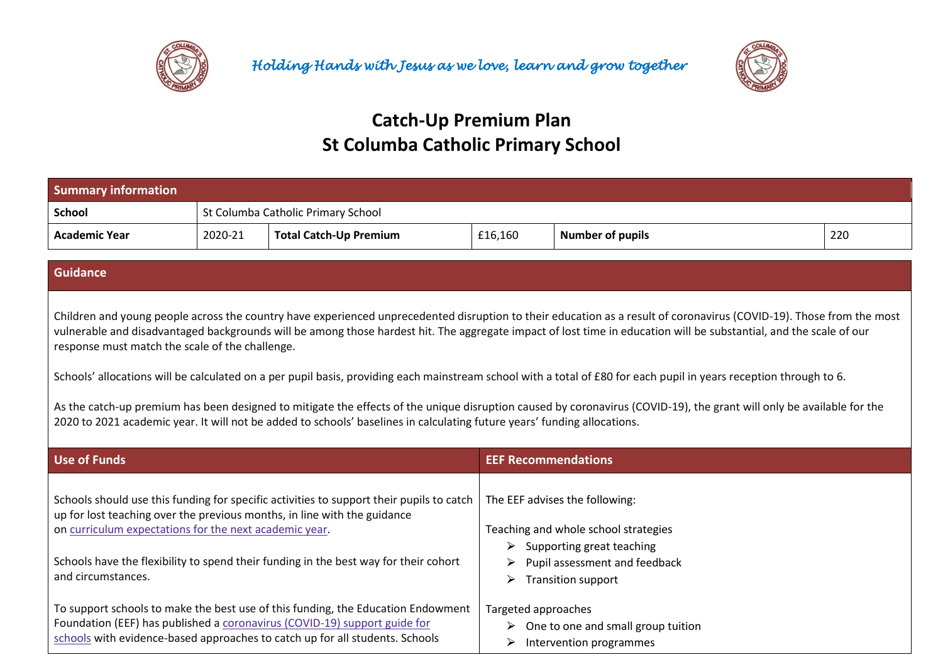



## **Catch-Up Premium Plan St Columba Catholic Primary School**

| <b>Summary information</b> |                                    |                               |         |                         |     |
|----------------------------|------------------------------------|-------------------------------|---------|-------------------------|-----|
| <b>School</b>              | St Columba Catholic Primary School |                               |         |                         |     |
| <b>Academic Year</b>       | 2020-21                            | <b>Total Catch-Up Premium</b> | £16,160 | <b>Number of pupils</b> | 220 |

## **Guidance**

Children and young people across the country have experienced unprecedented disruption to their education as a result of coronavirus (COVID-19). Those from the most vulnerable and disadvantaged backgrounds will be among those hardest hit. The aggregate impact of lost time in education will be substantial, and the scale of our response must match the scale of the challenge.

Schools' allocations will be calculated on a per pupil basis, providing each mainstream school with a total of £80 for each pupil in years reception through to 6.

As the catch-up premium has been designed to mitigate the effects of the unique disruption caused by coronavirus (COVID-19), the grant will only be available for the 2020 to 2021 academic year. It will not be added to schools' baselines in calculating future years' funding allocations.

| Use of Funds                                                                                                                                                                                                                                  | <b>EEF Recommendations</b>                                                                            |
|-----------------------------------------------------------------------------------------------------------------------------------------------------------------------------------------------------------------------------------------------|-------------------------------------------------------------------------------------------------------|
| Schools should use this funding for specific activities to support their pupils to catch<br>up for lost teaching over the previous months, in line with the guidance                                                                          | The EEF advises the following:                                                                        |
| on curriculum expectations for the next academic year.                                                                                                                                                                                        | Teaching and whole school strategies<br>Supporting great teaching<br>➤                                |
| Schools have the flexibility to spend their funding in the best way for their cohort<br>and circumstances.                                                                                                                                    | Pupil assessment and feedback<br>➤<br><b>Transition support</b><br>➤                                  |
| To support schools to make the best use of this funding, the Education Endowment<br>Foundation (EEF) has published a coronavirus (COVID-19) support guide for<br>schools with evidence-based approaches to catch up for all students. Schools | Targeted approaches<br>$\triangleright$ One to one and small group tuition<br>Intervention programmes |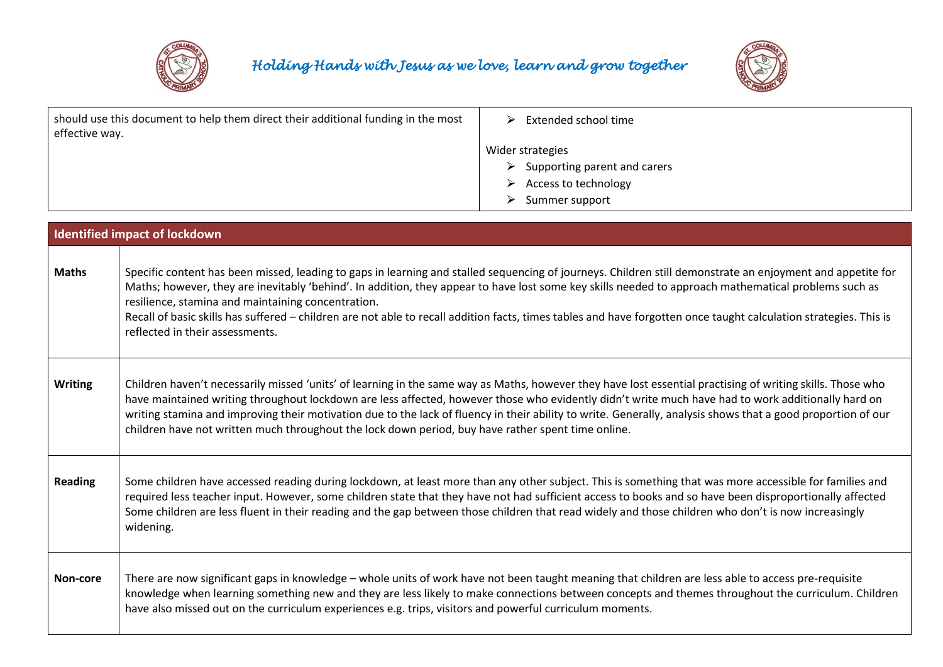



| should use this document to help them direct their additional funding in the most<br>effective way. |                                                                                                                                                                                                                                                                                                                                                                                                                                                                                                                                                                                  | ➤<br>Extended school time                                                                                                                                                                                                                                                                                                                                                                                                                                                        |  |  |
|-----------------------------------------------------------------------------------------------------|----------------------------------------------------------------------------------------------------------------------------------------------------------------------------------------------------------------------------------------------------------------------------------------------------------------------------------------------------------------------------------------------------------------------------------------------------------------------------------------------------------------------------------------------------------------------------------|----------------------------------------------------------------------------------------------------------------------------------------------------------------------------------------------------------------------------------------------------------------------------------------------------------------------------------------------------------------------------------------------------------------------------------------------------------------------------------|--|--|
|                                                                                                     |                                                                                                                                                                                                                                                                                                                                                                                                                                                                                                                                                                                  | Wider strategies                                                                                                                                                                                                                                                                                                                                                                                                                                                                 |  |  |
|                                                                                                     |                                                                                                                                                                                                                                                                                                                                                                                                                                                                                                                                                                                  | Supporting parent and carers<br>➤                                                                                                                                                                                                                                                                                                                                                                                                                                                |  |  |
|                                                                                                     |                                                                                                                                                                                                                                                                                                                                                                                                                                                                                                                                                                                  | Access to technology                                                                                                                                                                                                                                                                                                                                                                                                                                                             |  |  |
|                                                                                                     |                                                                                                                                                                                                                                                                                                                                                                                                                                                                                                                                                                                  | Summer support<br>➤                                                                                                                                                                                                                                                                                                                                                                                                                                                              |  |  |
|                                                                                                     |                                                                                                                                                                                                                                                                                                                                                                                                                                                                                                                                                                                  |                                                                                                                                                                                                                                                                                                                                                                                                                                                                                  |  |  |
|                                                                                                     | <b>Identified impact of lockdown</b>                                                                                                                                                                                                                                                                                                                                                                                                                                                                                                                                             |                                                                                                                                                                                                                                                                                                                                                                                                                                                                                  |  |  |
|                                                                                                     |                                                                                                                                                                                                                                                                                                                                                                                                                                                                                                                                                                                  |                                                                                                                                                                                                                                                                                                                                                                                                                                                                                  |  |  |
| <b>Maths</b>                                                                                        | Specific content has been missed, leading to gaps in learning and stalled sequencing of journeys. Children still demonstrate an enjoyment and appetite for<br>Maths; however, they are inevitably 'behind'. In addition, they appear to have lost some key skills needed to approach mathematical problems such as<br>resilience, stamina and maintaining concentration.<br>Recall of basic skills has suffered – children are not able to recall addition facts, times tables and have forgotten once taught calculation strategies. This is<br>reflected in their assessments. |                                                                                                                                                                                                                                                                                                                                                                                                                                                                                  |  |  |
| <b>Writing</b>                                                                                      | children have not written much throughout the lock down period, buy have rather spent time online.                                                                                                                                                                                                                                                                                                                                                                                                                                                                               | Children haven't necessarily missed 'units' of learning in the same way as Maths, however they have lost essential practising of writing skills. Those who<br>have maintained writing throughout lockdown are less affected, however those who evidently didn't write much have had to work additionally hard on<br>writing stamina and improving their motivation due to the lack of fluency in their ability to write. Generally, analysis shows that a good proportion of our |  |  |
| <b>Reading</b>                                                                                      | widening.                                                                                                                                                                                                                                                                                                                                                                                                                                                                                                                                                                        | Some children have accessed reading during lockdown, at least more than any other subject. This is something that was more accessible for families and<br>required less teacher input. However, some children state that they have not had sufficient access to books and so have been disproportionally affected<br>Some children are less fluent in their reading and the gap between those children that read widely and those children who don't is now increasingly         |  |  |

Non-core | There are now significant gaps in knowledge – whole units of work have not been taught meaning that children are less able to access pre-requisite knowledge when learning something new and they are less likely to make connections between concepts and themes throughout the curriculum. Children have also missed out on the curriculum experiences e.g. trips, visitors and powerful curriculum moments.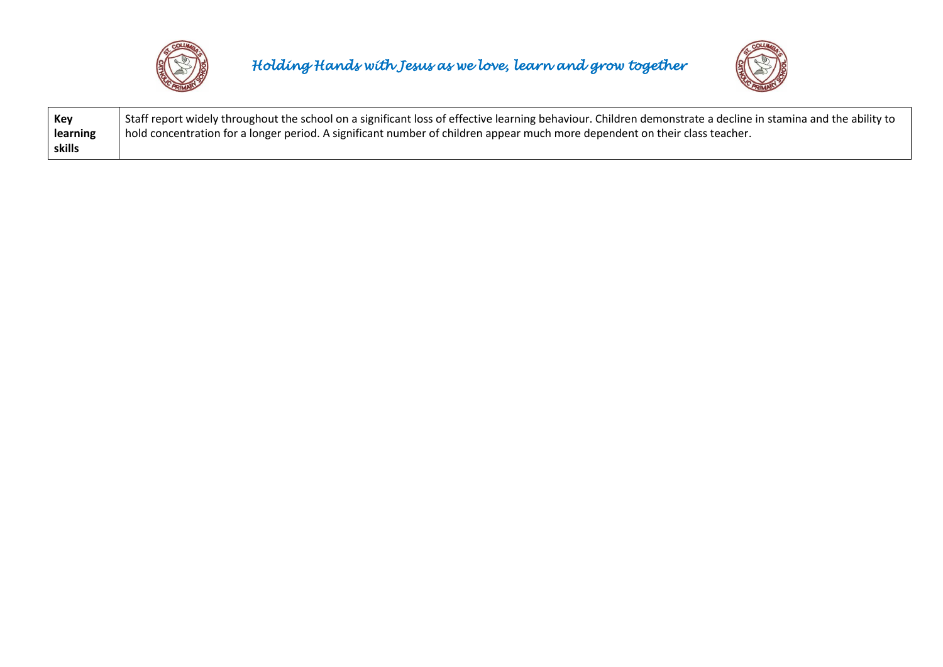

*Holding Hands with Jesus as we love, learn and grow together* 



| Key      | Staff report widely throughout the school on a significant loss of effective learning behaviour. Children demonstrate a decline in stamina and the ability to |
|----------|---------------------------------------------------------------------------------------------------------------------------------------------------------------|
| learning | hold concentration for a longer period. A significant number of children appear much more dependent on their class teacher.                                   |
| skills   |                                                                                                                                                               |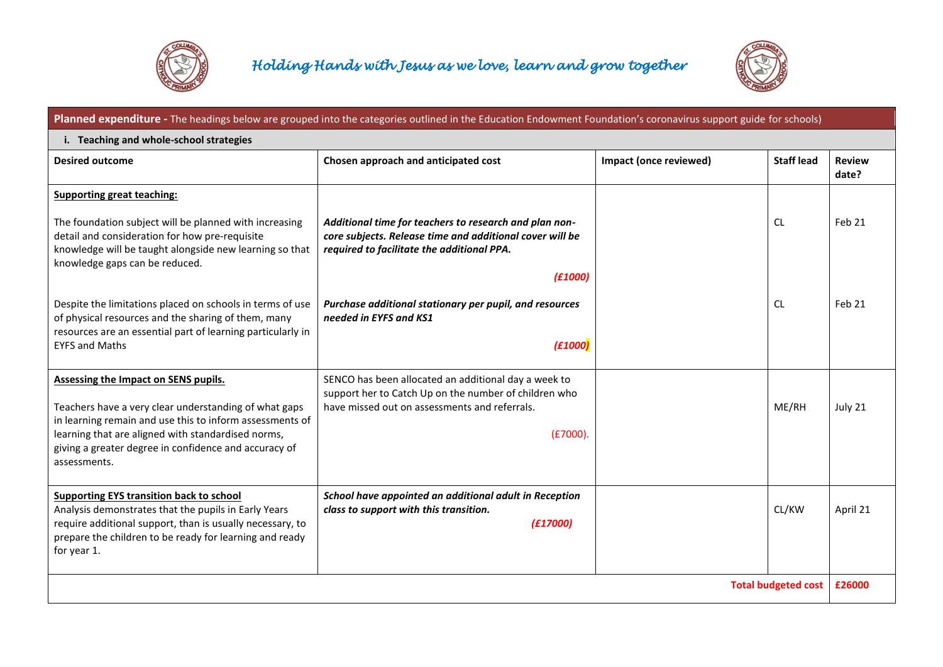



## **Planned expenditure -** The headings below are grouped into the categories outlined in the Education Endowment Foundation's coronavirus support guide for schools) **i. Teaching and whole-school strategies Desired outcome Chosen approach and anticipated cost Impact (once reviewed) Staff lead** Review **Review Review date? Supporting great teaching:** The foundation subject will be planned with increasing detail and consideration for how pre-requisite knowledge will be taught alongside new learning so that knowledge gaps can be reduced. Despite the limitations placed on schools in terms of use of physical resources and the sharing of them, many resources are an essential part of learning particularly in EYFS and Maths *Additional time for teachers to research and plan noncore subjects. Release time and additional cover will be required to facilitate the additional PPA. (£1000) Purchase additional stationary per pupil, and resources needed in EYFS and KS1 (£1000)*  $\overline{C}$  $Cl$ Feb 21 Feb 21 **Assessing the Impact on SENS pupils.** Teachers have a very clear understanding of what gaps in learning remain and use this to inform assessments of learning that are aligned with standardised norms, giving a greater degree in confidence and accuracy of assessments. SENCO has been allocated an additional day a week to support her to Catch Up on the number of children who have missed out on assessments and referrals. (£7000). ME/RH July 21 **Supporting EYS transition back to school** Analysis demonstrates that the pupils in Early Years require additional support, than is usually necessary, to prepare the children to be ready for learning and ready for year 1. *School have appointed an additional adult in Reception class to support with this transition. (£17000)* CL/KW April 21 **Total budgeted cost £26000**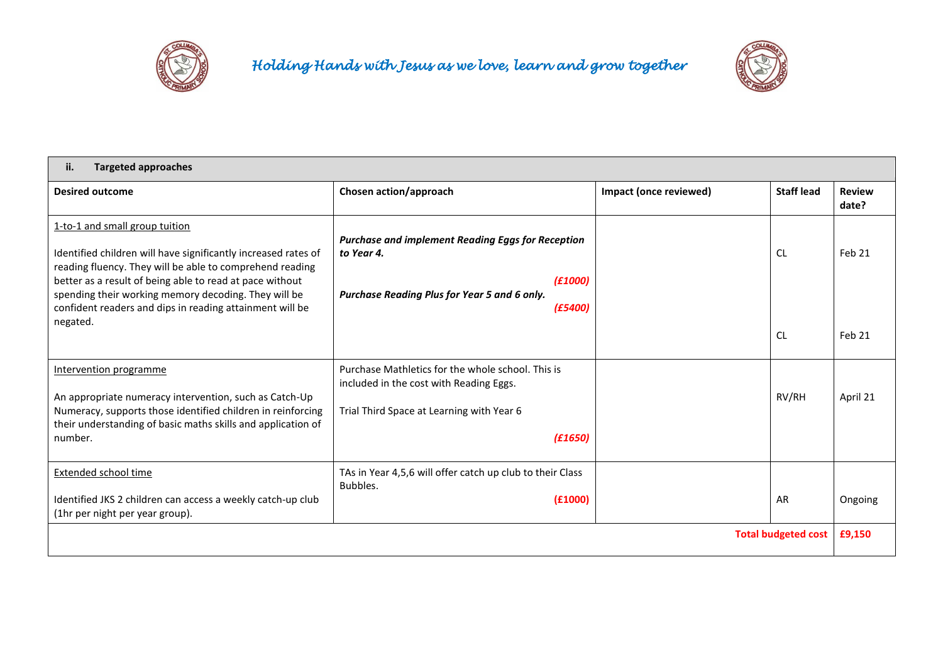



| <b>Targeted approaches</b><br>ii.                                                                                                                                                                                                                                                                                                                        |                                                                                                                                                      |                        |                        |                             |  |
|----------------------------------------------------------------------------------------------------------------------------------------------------------------------------------------------------------------------------------------------------------------------------------------------------------------------------------------------------------|------------------------------------------------------------------------------------------------------------------------------------------------------|------------------------|------------------------|-----------------------------|--|
| <b>Desired outcome</b>                                                                                                                                                                                                                                                                                                                                   | Chosen action/approach                                                                                                                               | Impact (once reviewed) | <b>Staff lead</b>      | <b>Review</b><br>date?      |  |
| 1-to-1 and small group tuition<br>Identified children will have significantly increased rates of<br>reading fluency. They will be able to comprehend reading<br>better as a result of being able to read at pace without<br>spending their working memory decoding. They will be<br>confident readers and dips in reading attainment will be<br>negated. | <b>Purchase and implement Reading Eggs for Reception</b><br>to Year 4.<br>(E1000)<br>Purchase Reading Plus for Year 5 and 6 only.<br>(E5400)         |                        | <b>CL</b><br><b>CL</b> | Feb 21<br>Feb <sub>21</sub> |  |
| Intervention programme<br>An appropriate numeracy intervention, such as Catch-Up<br>Numeracy, supports those identified children in reinforcing<br>their understanding of basic maths skills and application of<br>number.                                                                                                                               | Purchase Mathletics for the whole school. This is<br>included in the cost with Reading Eggs.<br>Trial Third Space at Learning with Year 6<br>(£1650) |                        | RV/RH                  | April 21                    |  |
| <b>Extended school time</b><br>Identified JKS 2 children can access a weekly catch-up club<br>(1hr per night per year group).                                                                                                                                                                                                                            | TAs in Year 4,5,6 will offer catch up club to their Class<br>Bubbles.<br>(f1000)                                                                     |                        | AR                     | Ongoing                     |  |
| <b>Total budgeted cost</b>                                                                                                                                                                                                                                                                                                                               |                                                                                                                                                      |                        |                        | £9,150                      |  |